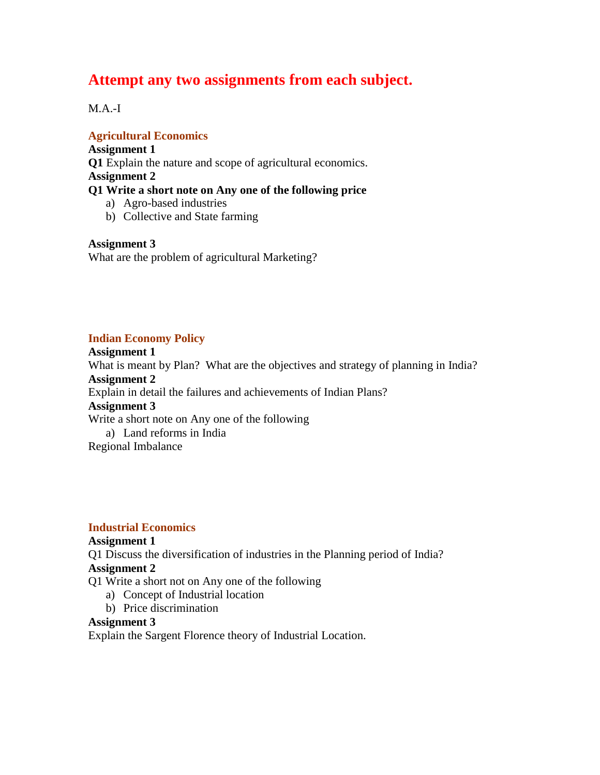# **Attempt any two assignments from each subject.**

 $M.A.-I$ 

**Agricultural Economics**

**Assignment 1 Q1** Explain the nature and scope of agricultural economics. **Assignment 2 Q1 Write a short note on Any one of the following price** a) Agro-based industries

b) Collective and State farming

**Assignment 3** What are the problem of agricultural Marketing?

### **Indian Economy Policy**

**Assignment 1** What is meant by Plan? What are the objectives and strategy of planning in India? **Assignment 2** Explain in detail the failures and achievements of Indian Plans? **Assignment 3** Write a short note on Any one of the following a) Land reforms in India Regional Imbalance

### **Industrial Economics**

### **Assignment 1**

Q1 Discuss the diversification of industries in the Planning period of India?

### **Assignment 2**

Q1 Write a short not on Any one of the following

- a) Concept of Industrial location
- b) Price discrimination

### **Assignment 3**

Explain the Sargent Florence theory of Industrial Location.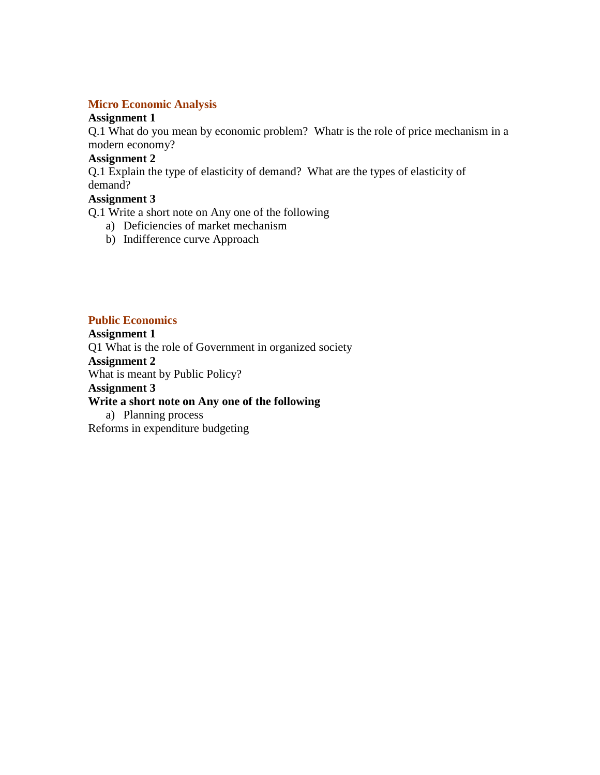### **Micro Economic Analysis**

### **Assignment 1**

Q.1 What do you mean by economic problem? Whatr is the role of price mechanism in a modern economy?

# **Assignment 2**

Q.1 Explain the type of elasticity of demand? What are the types of elasticity of demand?

# **Assignment 3**

Q.1 Write a short note on Any one of the following

- a) Deficiencies of market mechanism
- b) Indifference curve Approach

### **Public Economics**

**Assignment 1** Q1 What is the role of Government in organized society **Assignment 2** What is meant by Public Policy? **Assignment 3**

# **Write a short note on Any one of the following**

a) Planning process Reforms in expenditure budgeting